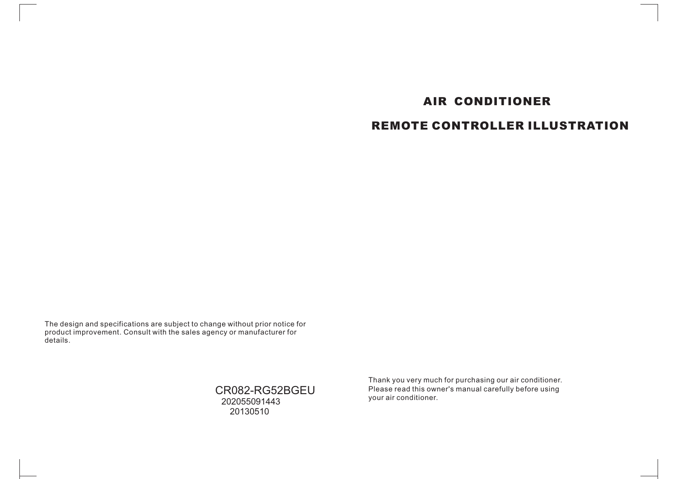# **AIR CONDITIONER REMOTE CONTROLLER ILLUSTRATION**

The design and specifications are subject to change without prior notice for product improvement. Consult with the sales agency or manufacturer for details.

> CR082-RG52BGEU 202055091443 20130510

Thank you very much for purchasing our air conditioner. Please read this owner's manual carefully before using your air conditioner.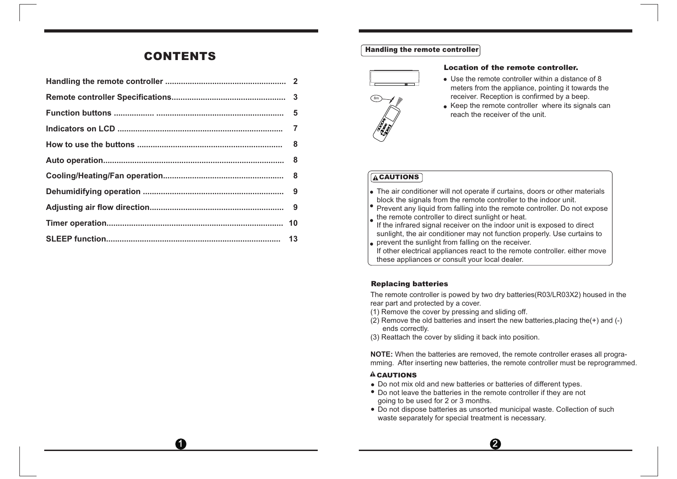## **CONTENTS**

0

#### **Handling the remote controller**



#### **Location of the remote controller.**

- Use the remote controller within a distance of 8 meters from the appliance, pointing it towards the receiver. Reception is confirmed by a beep.
- Keep the remote controller where its signals can reach the receiver of the unit.

### **ACAUTIONS**

- The air conditioner will not operate if curtains, doors or other materials
- block the signals from the remote controller to the indoor unit.
- Prevent any liquid from falling into the remote controller. Do not expose the remote controller to direct sunlight or heat.

If the infrared signal receiver on the indoor unit is exposed to direct sunlight, the air conditioner may not function properly. Use curtains to **prevent the sunlight from falling on the receiver.** 

If other electrical appliances react to the remote controller. either move these appliances or consult your local dealer.

### **Replacing batteries**

The remote controller is powed by two dry batteries(R03/LR03X2) housed in the rear part and protected by a cover.

- (1) Remove the cover by pressing and sliding off.
- (2) Remove the old batteries and insert the new batteries, placing the  $(+)$  and  $(-)$ ends correctly.
- (3) Reattach the cover by sliding it back into position.

**NOTE:** When the batteries are removed, the remote controller erases all programming. After inserting new batteries, the remote controller must be reprogrammed.

## **CAUTIONS**

- Do not mix old and new batteries or batteries of different types.
- Do not leave the batteries in the remote controller if they are not going to be used for 2 or 3 months.
- Do not dispose batteries as unsorted municipal waste. Collection of such waste separately for special treatment is necessary.

 $\boldsymbol{Q}$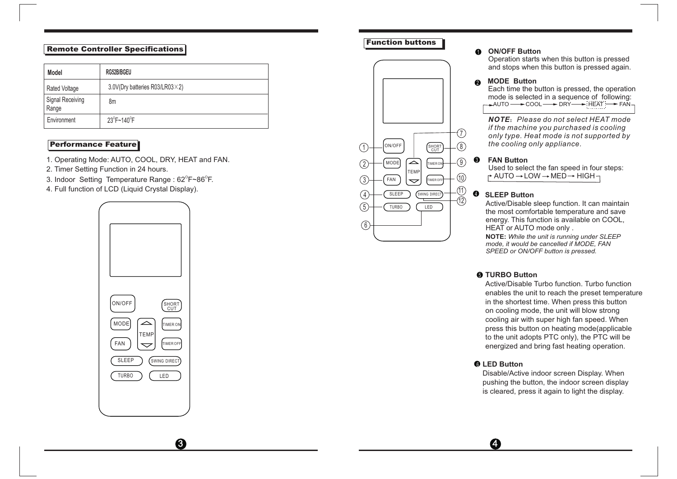### **Remote Controller Specifications**

| Model                       | RG52B/BGEU                              |  | and stops when this button is pressed again.                                           |
|-----------------------------|-----------------------------------------|--|----------------------------------------------------------------------------------------|
| Rated Voltage               | 3.0V(Dry batteries R03/LR03 $\times$ 2) |  | <b>MODE Button</b><br>Each time the button is pressed, the operation                   |
| Signal Receiving<br>l Range | 8m                                      |  | mode is selected in a sequence of following<br><b>←→AUTO ← COOL ← DRY ← HEAT ← FAN</b> |
| Environment                 | $23^{\circ}$ F~140 $^{\circ}$ F         |  | <b>NOTE:</b> Please do not select HEAT mode<br>if the machine veu nurchased is cooling |

### **Performance Feature**

- 1. Operating Mode: AUTO, COOL, DRY, HEAT and FAN.
- 2. Timer Setting Function in 24 hours.
- 3. Indoor Setting Temperature Range :  $62^{\circ}$ F~86 $^{\circ}$ F.
- 4. Full function of LCD (Liquid Crystal Display).



#### **Function buttons**



### 1 **ON/OFF Button**

Operation starts when this button is pressed and stops when this button is pressed again.

#### $\Omega$ **MODE Button**

*if the machine you purchased is cooling only type. Heat mode is not supported by the cooling only appliance.*

#### **FAN Button**

Used to select the fan speed in four steps:  $\rightarrow$  AUTO  $\rightarrow$  LOW  $\rightarrow$  MED  $\rightarrow$  HIGH  $\rightarrow$ 

## **SLEEP Button**

Active/Disable sleep function. It can maintain the most comfortable temperature and save energy. This function is available on COOL, HEAT or AUTO mode only .

**NOTE:** *While the unit is running under SLEEP mode, it would be cancelled if MODE, FAN SPEED or ON/OFF button is pressed.*

### 5 **TURBO Button**

Active/Disable Turbo function. Turbo function enables the unit to reach the preset temperature in the shortest time. When press this button on cooling mode, the unit will blow strong cooling air with super high fan speed. When press this button on heating mode(applicable to the unit adopts PTC only), the PTC will be energized and bring fast heating operation.

### 6 **LED Button**

Disable/Active indoor screen Display. When pushing the button, the indoor screen display is cleared, press it again to light the display.

 $\overline{3}$   $\overline{4}$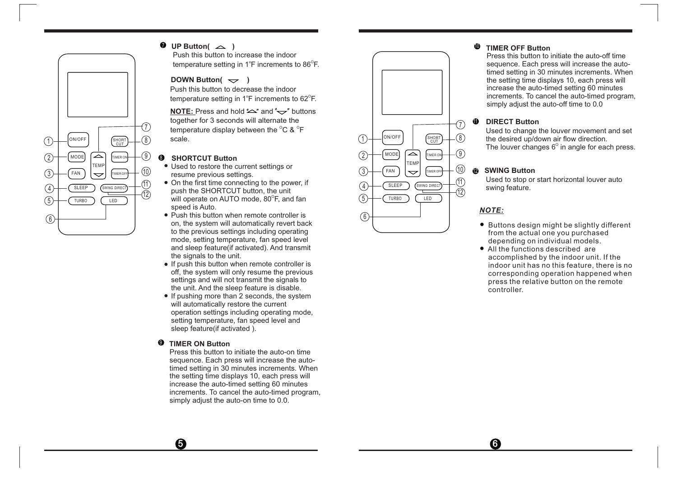

## $\blacksquare$  UP Button(  $\blacktriangle$  )

Push this button to increase the indoor temperature setting in 1°F increments to 86°F.

#### **DOWN Button(** $\rightarrow$ )

Push this button to decrease the indoor temperature setting in 1°F increments to 62°F.

**NOTE:** Press and hold  $\sim$ " and  $\sim$ " buttons together for 3 seconds will alternate the temperature display between the  $^{\circ}$ C &  $^{\circ}$ F  $^{\circ}$ scale.

#### **SHORTCUT Button**

- Used to restore the current settings or 10  $\frac{1}{2}$   $\frac{1}{2}$   $\frac{1}{2}$   $\frac{1}{2}$   $\frac{1}{2}$   $\frac{1}{2}$   $\frac{1}{2}$   $\frac{1}{2}$   $\frac{1}{2}$   $\frac{1}{2}$   $\frac{1}{2}$   $\frac{1}{2}$   $\frac{1}{2}$   $\frac{1}{2}$   $\frac{1}{2}$   $\frac{1}{2}$   $\frac{1}{2}$   $\frac{1}{2}$   $\frac{1}{2}$   $\frac{1}{2}$   $\frac{1}{2}$   $\frac{1}{2}$
- 11) On the first time connecting to the power, if  $\binom{1}{1}$   $\left(\frac{SIEEE}{S \cup EEP}\right)$   $\left(\frac{SUNING DIRECT}{S \cup EEP}\right)$ push the SHORTCUT button, the unit  $\frac{1}{2}$  push the SHORTCOT button, the unit<br>will operate on AUTO mode, 80<sup>°</sup>F, and fan  $\frac{1}{2}$   $\frac{1}{2}$   $\frac{1}{2}$   $\frac{1}{2}$   $\frac{1}{2}$   $\frac{1}{2}$   $\frac{1}{2}$ speed is Auto.
	- Push this button when remote controller is on, the system will automatically revert back to the previous settings including operating mode, setting temperature, fan speed level and sleep feature(if activated). And transmit the signals to the unit.
	- If push this button when remote controller is off, the system will only resume the previous settings and will not transmit the signals to the unit. And the sleep feature is disable.
	- $\bullet$  If pushing more than 2 seconds, the system will automatically restore the current operation settings including operating mode, setting temperature, fan speed level and sleep feature(if activated ).

#### **TIMER ON Button**   $\bf{0}$

6

Press this button to initiate the auto-on time sequence. Each press will increase the autotimed setting in 30 minutes increments. When the setting time displays 10, each press will increase the auto-timed setting 60 minutes increments. To cancel the auto-timed program, simply adjust the auto-on time to 0.0.



#### **TIMER OFF Button 10**

Press this button to initiate the auto-off time sequence. Each press will increase the autotimed setting in 30 minutes increments. When the setting time displays 10, each press will increase the auto-timed setting 60 minutes increments. To cancel the auto-timed program, simply adjust the auto-off time to 0.0

#### **DIRECT Button** 1 1

Used to change the louver movement and set the desired up/down air flow direction. The louver changes  $6^{\circ}$  in angle for each press.

#### **SWING Button**

Used to stop or start horizontal louver auto swing feature.

#### *N O TE:*

6

- Buttons design might be slightly different from the actual one you purchased depending on individual models.
- All the functions described are a c c o m plis h ed by t he i n d o or u nit. If t he indoor unit has no this feature, there is no corresponding operation happened when press the relative button on the remote c o n t r oller.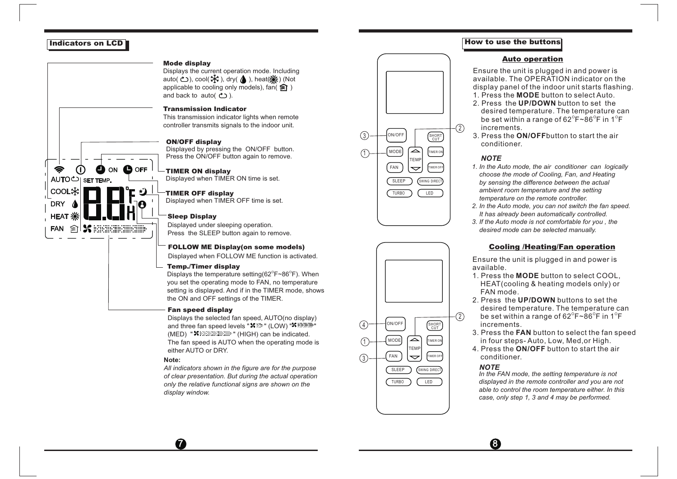#### **Indicators on LCD**



#### **Mode display**

Displays the current operation mode. Including auto( $\bigcirc$ ), cool( $\mathcal{K}$ ), dry( $\bigwedge$ ), heat( $\mathcal{K}$ ) (Not applicable to cooling only models), fan( $\hat{\mathbf{S}}$ ) and back to auto( $\uparrow$ ).

#### **T ransmission Indicator**

This transmission indicator lights when remote controller transmits signals to the indoor unit.

#### **ON/OFF display**

Displayed by pressing the ON/OFF button. Press the ON/OFF button again to remove.

#### **TIMER ON display**

Displayed when TIMER ON time is set.

### **TIMER OFF display**

Displayed when TIMER OFF time is set.

#### **Sleep Display**

Displayed under sleeping operation. Press the SLEEP button again to remove.

#### **FOLL OW ME Display(on some models)**

Displayed when FOLLOW ME function is activated.

#### **Temp./Timer display**

Displays the temperature setting(62 $\mathrm{^{\circ}F{\sim}86^{\circ}F}$ ). When you set the operating mode to FAN, no temperature setting is displayed. And if in the TIMER mode, shows the ON and OFF settings of the TIMER.

#### **Fan speed display**

Displays the selected fan speed, AUTO(no display) and three fan speed levels " $\mathbf{x}$  is " (LOW) " $\mathbf{x}$  is the " (MED) " " (HIGH) can be indicated. The fan speed is AUTO when the operating mode is either AUTO or DRY.

#### **Note:**

 $\boldsymbol{\Omega}$ 

*of clear presentation. But during the actual operation only the relative functional signs are shown on the display window. All indicators shown in the figure are for the purpose* 





#### **How to use the buttons**

#### <u>Auto operation</u>

E n s u re t he u nit is plu g g ed in a nd p o w er is available. The OPERATION indicator on the display panel of the indoor unit starts flashing. 1. Press the **MODE** button to select Auto.

- 2. Press the **UP/DOWN** button to set the desired temperature. The temperature can be set within a range of 62 $^{\circ}$ F~86 $^{\circ}$ F in 1 $^{\circ}$ F increments.
- 3. P r e ss t he **O N / O F F** b u t t on to s t a rt t he air c o n ditio n er.

#### *NOTE*

- *1. In the Auto mode, the air conditioner can logically choose the mode of Cooling, Fan, and Heating by sensing the difference between the actual ambient room temperature and the setting temperature on the remote controller.*
- *2. In the Auto mode, you can not switch the fan speed. It has already been automatically controlled.*
- *3. If the Auto mode is not comfortable for you , the desired mode can be selected manually.*

#### **Cooling /Heating/Fan oper ation**

E n s u re t he u nit is plu g g ed in a nd p o w er is a v aila ble.

- 1. P r e ss t he **M O DE**  b u t t on to s ele ct C O O L, H E A T ( c o oling & h e a ting m o d els o nly) or FAN m o d e .
- 2. Press the **UP/DOWN** buttons to set the desired temperature. The temperature can be set within a range of 62 $^{\circ}$ F~86 $^{\circ}$ F in 1 $^{\circ}$ F increments.
- 3. Press the **FAN** button to select the fan speed in f o ur s t e p s-A u t o, L ow, M e d , or Hig h.
- 4. P r e ss t he **O N / O FF**  b u t t on to s t a rt t he air c o n ditio n er.

#### *NOTE*

8

 *In the FAN mode, the setting temperature is not displayed in the remote controller and you are not able to control the room temperature either. In this case, only step 1, 3 and 4 may be performed.*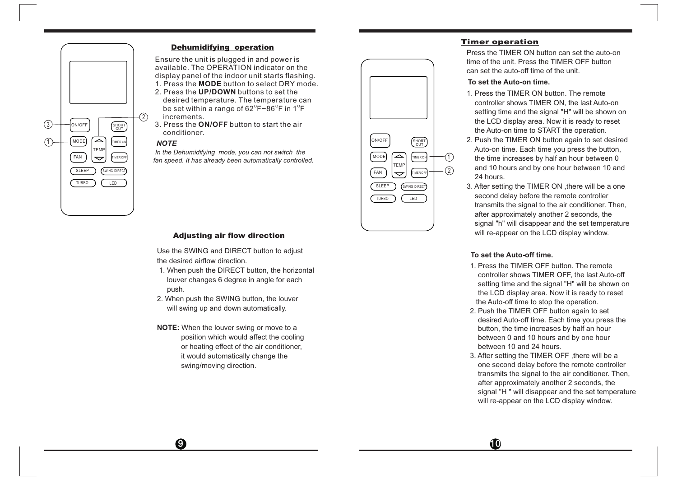

#### **Dehumidifying operation**

E n s u re t he u nit is plu g g ed in a nd p o w er is available. The OPERATION indicator on the display panel of the indoor unit starts flashing.

- 1. Press the **MODE** button to select DRY mode.
- 2. Press the **UP/DOWN** buttons to set the desired temperature. The temperature can be set within a range of 62 $^{\circ}$ F~86 $^{\circ}$ F in 1 $^{\circ}$ F increments.
- 3. Press the **O N / O FF**  b u t t on to s t a rt t he air c o n ditio n er.

#### *NOTE*

 *In the Dehumidifying mode, you can not switch the fan speed. It has already been automatically controlled.*



Use the SWING and DIRECT button to adjust the desired airflow direction.

- 1. When push the DIRECT button, the horizontal louver changes 6 degree in angle for each push.
- 2. When push the SWING button, the louver will swing up and down automatically.
- **NOTE:** When the louver swing or move to a position which would affect the cooling or heating effect of the air conditioner, it would automatically change the swing/moving direction.

 $\boldsymbol{0}$ 



#### **T i m er o p e r a t i o n**

Press the TIMER ON button can set the auto-on time of the unit. Press the TIMER OFF button can set the auto-off time of the unit.

#### **To set the Auto-on time.**

- 1. Press the TIMER ON button. The remote controller shows TIMER ON, the last Auto-on setting time and the signal "H" will be shown on the LCD display area. Now it is ready to reset the Auto-on time to STAR T the operation.
- 2. Push the TIMER ON button again to set desired Auto-on time. Each time you press the button, the time increases by half an hour between 0 and 10 hours and by one hour between 10 and 24 hours.
- 3. After setting the TIMER ON ,there will be a one second delay before the remote controller transmits the signal to the air conditioner. Then, after approximately another 2 seconds, the signal "h" will disappear and the set temperature will re-appear on the LCD display window .

#### **To set the Auto-off time.**

1 0

- 1. Press the TIMER OFF button. The remote controller shows TIMER OFF, the last Auto-off setting time and the signal "H" will be shown on the LCD display area. Now it is ready to reset the Auto-off time to stop the operation.
- 2. Push the TIMER OFF button again to set desired Auto-off time. Each time you press the button, the time increases by half an hour between 0 and 10 hours and by one hour between 10 and 24 hours.
- 3. After setting the TIMER OFF ,there will be a one second delay before the remote controller transmits the signal to the air conditioner. Then, after approximately another 2 seconds, the signal "H " will disappear and the set temperature will re-appear on the LCD display window .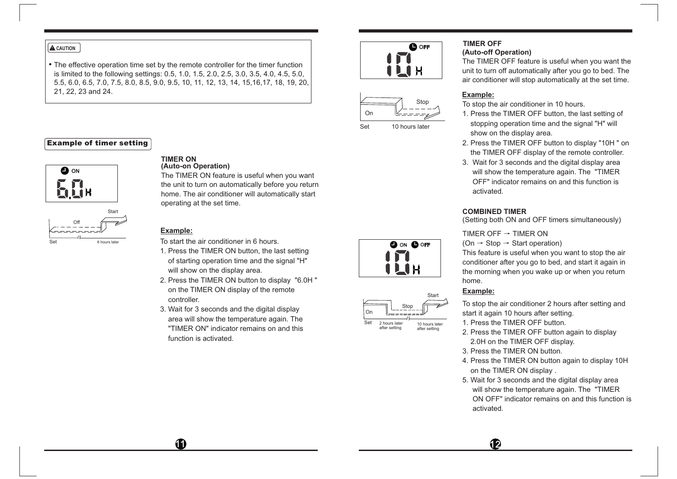#### **A** CAUTION

 The effective operation time set by the remote controller for the timer function is limited to the following settings: 0.5, 1.0, 1.5, 2.0, 2.5, 3.0, 3.5, 4.0, 4.5, 5.0, 5.5, 6.0, 6.5, 7.0, 7.5, 8.0, 8.5, 9.0, 9.5, 10, 11, 12, 13, 14, 15,16,17, 18, 19, 20, 21, 22, 23 and 24.

#### **Example of timer setting**



#### **(Auto-on Operation) TIMER ON**

The TIMER ON feature is useful when you want the unit to turn on automatically before you return home. The air conditioner will automatically start operating at the set time.

#### **Example:**

To start the air conditioner in 6 hours.

- 1. Press the TIMER ON button, the last setting of starting operation time and the signal "H" will show on the display area.
- 2. Press the TIMER ON button to display "6.0H " on the TIMER ON display of the remote controller.
- 3. Wait for 3 seconds and the digital display area will show the temperature again. The "TIMER ON" indicator remains on and this function is activated.





Set 10 hours later

 $\bigcap_{r}$ 

Set

Stop

-----

**OON OOFF** 

ILIH

Start

10 hours later after setting

2 hours later after setting

## **TIMER OFF**

#### **(Auto-off Operation)**

The TIMER OFF feature is useful when you want the unit to turn off automatically after you go to bed. The air conditioner will stop automatically at the set time.

#### **Example:**

To stop the air conditioner in 10 hours.

- 1. Press the TIMER OFF button, the last setting of stopping operation time and the signal "H" will show on the display area.
- 2. Press the TIMER OFF button to display "10H " on the TIMER OFF display of the remote controller.
- 3. Wait for 3 seconds and the digital display area will show the temperature again. The "TIMER OFF" indicator remains on and this function is activated.

#### **COMBINED TIMER**

(Setting both ON and OFF timers simultaneously)

TIMER OFF  $\rightarrow$  TIMER ON

(On  $\rightarrow$  Stop  $\rightarrow$  Start operation)

This feature is useful when you want to stop the air conditioner after you go to bed, and start it again in the morning when you wake up or when you return home.

#### **Example:**

To stop the air conditioner 2 hours after setting and start it again 10 hours after setting.

1. Press the TIMER OFF button.

- 2. Press the TIMER OFF button again to display 2.0H on the TIMER OFF display.
- 3. Press the TIMER ON button.
- 4. Press the TIMER ON button again to display 10H on the TIMER ON display .
- 5. Wait for 3 seconds and the digital display area will show the temperature again. The "TIMER ON OFF" indicator remains on and this function is activated.

 $11$  12  $12$  12  $12$  12  $12$  12  $12$  12  $12$  12  $12$  12  $12$  12  $12$  12  $12$  12  $12$  12  $12$  12  $12$  12  $12$  12  $12$  12  $12$  12  $12$  12  $12$  12  $12$  12  $12$  12  $12$  12  $12$  12  $12$  12  $12$  12  $12$  12  $12$  12  $12$  12  $12$